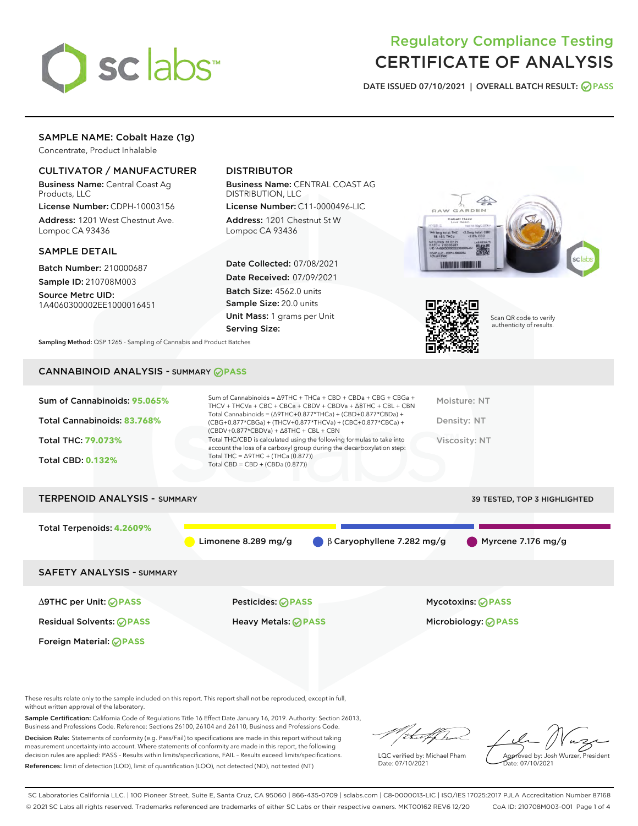

## Regulatory Compliance Testing CERTIFICATE OF ANALYSIS

DATE ISSUED 07/10/2021 | OVERALL BATCH RESULT: @ PASS

## SAMPLE NAME: Cobalt Haze (1g)

Concentrate, Product Inhalable

## CULTIVATOR / MANUFACTURER

Business Name: Central Coast Ag Products, LLC

License Number: CDPH-10003156 Address: 1201 West Chestnut Ave. Lompoc CA 93436

### SAMPLE DETAIL

Batch Number: 210000687 Sample ID: 210708M003

Source Metrc UID: 1A4060300002EE1000016451

## DISTRIBUTOR

Business Name: CENTRAL COAST AG DISTRIBUTION, LLC

License Number: C11-0000496-LIC Address: 1201 Chestnut St W Lompoc CA 93436

Date Collected: 07/08/2021 Date Received: 07/09/2021 Batch Size: 4562.0 units Sample Size: 20.0 units Unit Mass: 1 grams per Unit Serving Size:





Scan QR code to verify authenticity of results.

Sampling Method: QSP 1265 - Sampling of Cannabis and Product Batches

## CANNABINOID ANALYSIS - SUMMARY **PASS**

| Total THC/CBD is calculated using the following formulas to take into<br><b>Total THC: 79.073%</b><br>Viscosity: NT<br>account the loss of a carboxyl group during the decarboxylation step:<br>Total THC = $\triangle$ 9THC + (THCa (0.877))<br><b>Total CBD: 0.132%</b><br>Total CBD = $CBD + (CBDa (0.877))$ | Sum of Cannabinoids: 95.065%<br>Total Cannabinoids: 83.768% | Sum of Cannabinoids = $\triangle$ 9THC + THCa + CBD + CBDa + CBG + CBGa +<br>THCV + THCVa + CBC + CBCa + CBDV + CBDVa + $\triangle$ 8THC + CBL + CBN<br>Total Cannabinoids = $(\Delta 9THC + 0.877*THCa) + (CBD+0.877*CBDa) +$<br>(CBG+0.877*CBGa) + (THCV+0.877*THCVa) + (CBC+0.877*CBCa) +<br>$(CBDV+0.877*CBDVa) + \Delta 8THC + CBL + CBN$ | Moisture: NT<br>Density: NT |
|-----------------------------------------------------------------------------------------------------------------------------------------------------------------------------------------------------------------------------------------------------------------------------------------------------------------|-------------------------------------------------------------|------------------------------------------------------------------------------------------------------------------------------------------------------------------------------------------------------------------------------------------------------------------------------------------------------------------------------------------------|-----------------------------|
|                                                                                                                                                                                                                                                                                                                 |                                                             |                                                                                                                                                                                                                                                                                                                                                |                             |

# TERPENOID ANALYSIS - SUMMARY 39 TESTED, TOP 3 HIGHLIGHTED Total Terpenoids: **4.2609%** Limonene 8.289 mg/g  $\bigcirc$  β Caryophyllene 7.282 mg/g  $\bigcirc$  Myrcene 7.176 mg/g SAFETY ANALYSIS - SUMMARY

∆9THC per Unit: **PASS** Pesticides: **PASS** Mycotoxins: **PASS**

Foreign Material: **PASS**

Residual Solvents: **PASS** Heavy Metals: **PASS** Microbiology: **PASS**

These results relate only to the sample included on this report. This report shall not be reproduced, except in full, without written approval of the laboratory.

Sample Certification: California Code of Regulations Title 16 Effect Date January 16, 2019. Authority: Section 26013, Business and Professions Code. Reference: Sections 26100, 26104 and 26110, Business and Professions Code. Decision Rule: Statements of conformity (e.g. Pass/Fail) to specifications are made in this report without taking

measurement uncertainty into account. Where statements of conformity are made in this report, the following decision rules are applied: PASS – Results within limits/specifications, FAIL – Results exceed limits/specifications. References: limit of detection (LOD), limit of quantification (LOQ), not detected (ND), not tested (NT)

:t=4fh

LQC verified by: Michael Pham Date: 07/10/2021

Approved by: Josh Wurzer, President ate: 07/10/2021

SC Laboratories California LLC. | 100 Pioneer Street, Suite E, Santa Cruz, CA 95060 | 866-435-0709 | sclabs.com | C8-0000013-LIC | ISO/IES 17025:2017 PJLA Accreditation Number 87168 © 2021 SC Labs all rights reserved. Trademarks referenced are trademarks of either SC Labs or their respective owners. MKT00162 REV6 12/20 CoA ID: 210708M003-001 Page 1 of 4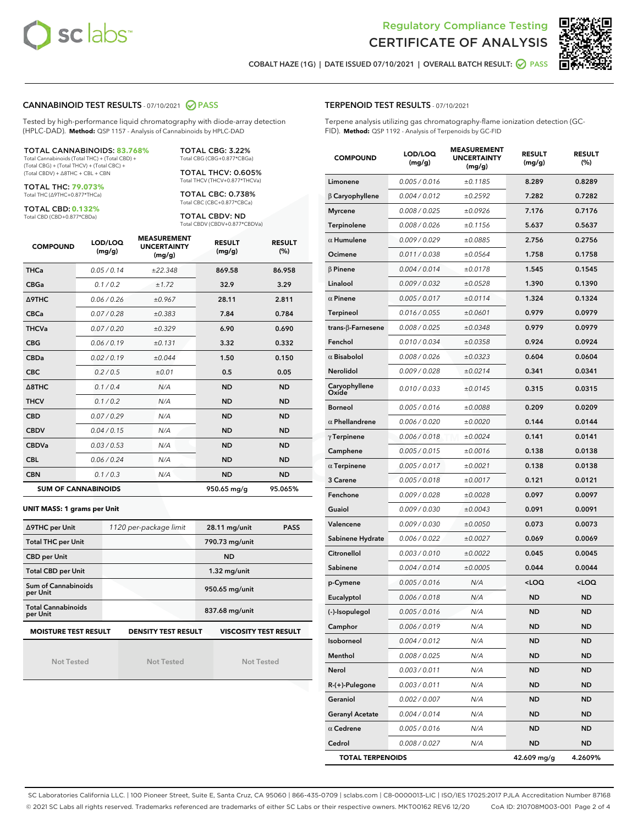



COBALT HAZE (1G) | DATE ISSUED 07/10/2021 | OVERALL BATCH RESULT: ◯ PASS

#### CANNABINOID TEST RESULTS - 07/10/2021 2 PASS

Tested by high-performance liquid chromatography with diode-array detection (HPLC-DAD). **Method:** QSP 1157 - Analysis of Cannabinoids by HPLC-DAD

TOTAL CANNABINOIDS: **83.768%** Total Cannabinoids (Total THC) + (Total CBD) +

(Total CBG) + (Total THCV) + (Total CBC) + (Total CBDV) + ∆8THC + CBL + CBN

TOTAL THC: **79.073%** Total THC (∆9THC+0.877\*THCa)

TOTAL CBD: **0.132%**

Total CBD (CBD+0.877\*CBDa)

TOTAL CBG: 3.22% Total CBG (CBG+0.877\*CBGa)

TOTAL THCV: 0.605% Total THCV (THCV+0.877\*THCVa)

TOTAL CBC: 0.738% Total CBC (CBC+0.877\*CBCa)

TOTAL CBDV: ND Total CBDV (CBDV+0.877\*CBDVa)

| <b>COMPOUND</b>            | LOD/LOQ<br>(mg/g) | <b>MEASUREMENT</b><br><b>UNCERTAINTY</b><br>(mg/g) | <b>RESULT</b><br>(mg/g) | <b>RESULT</b><br>(%) |
|----------------------------|-------------------|----------------------------------------------------|-------------------------|----------------------|
| <b>THCa</b>                | 0.05/0.14         | ±22.348                                            | 869.58                  | 86.958               |
| <b>CBGa</b>                | 0.1 / 0.2         | ±1.72                                              | 32.9                    | 3.29                 |
| <b>A9THC</b>               | 0.06 / 0.26       | ±0.967                                             | 28.11                   | 2.811                |
| <b>CBCa</b>                | 0.07 / 0.28       | ±0.383                                             | 7.84                    | 0.784                |
| <b>THCVa</b>               | 0.07/0.20         | ±0.329                                             | 6.90                    | 0.690                |
| <b>CBG</b>                 | 0.06/0.19         | ±0.131                                             | 3.32                    | 0.332                |
| <b>CBDa</b>                | 0.02/0.19         | ±0.044                                             | 1.50                    | 0.150                |
| <b>CBC</b>                 | 0.2 / 0.5         | ±0.01                                              | 0.5                     | 0.05                 |
| $\triangle$ 8THC           | 0.1 / 0.4         | N/A                                                | <b>ND</b>               | <b>ND</b>            |
| <b>THCV</b>                | 0.1/0.2           | N/A                                                | <b>ND</b>               | <b>ND</b>            |
| <b>CBD</b>                 | 0.07/0.29         | N/A                                                | <b>ND</b>               | <b>ND</b>            |
| <b>CBDV</b>                | 0.04 / 0.15       | N/A                                                | <b>ND</b>               | <b>ND</b>            |
| <b>CBDVa</b>               | 0.03/0.53         | N/A                                                | <b>ND</b>               | <b>ND</b>            |
| <b>CBL</b>                 | 0.06 / 0.24       | N/A                                                | <b>ND</b>               | <b>ND</b>            |
| <b>CBN</b>                 | 0.1/0.3           | N/A                                                | <b>ND</b>               | <b>ND</b>            |
| <b>SUM OF CANNABINOIDS</b> |                   |                                                    | 950.65 mg/g             | 95.065%              |

**UNIT MASS: 1 grams per Unit**

| ∆9THC per Unit                        | 1120 per-package limit                                                                    | 28.11 mg/unit<br><b>PASS</b> |  |  |  |  |
|---------------------------------------|-------------------------------------------------------------------------------------------|------------------------------|--|--|--|--|
| <b>Total THC per Unit</b>             |                                                                                           | 790.73 mg/unit               |  |  |  |  |
| <b>CBD per Unit</b>                   |                                                                                           | <b>ND</b>                    |  |  |  |  |
| <b>Total CBD per Unit</b>             |                                                                                           | $1.32$ mg/unit               |  |  |  |  |
| Sum of Cannabinoids<br>per Unit       |                                                                                           | 950.65 mg/unit               |  |  |  |  |
| <b>Total Cannabinoids</b><br>per Unit |                                                                                           | 837.68 mg/unit               |  |  |  |  |
|                                       | <b>MOISTURE TEST RESULT</b><br><b>DENSITY TEST RESULT</b><br><b>VISCOSITY TEST RESULT</b> |                              |  |  |  |  |

Not Tested

Not Tested

Not Tested

#### TERPENOID TEST RESULTS - 07/10/2021

Terpene analysis utilizing gas chromatography-flame ionization detection (GC-FID). **Method:** QSP 1192 - Analysis of Terpenoids by GC-FID

| <b>COMPOUND</b>           | LOD/LOQ<br>(mg/g) | <b>MEASUREMENT</b><br><b>UNCERTAINTY</b><br>(mg/g) | <b>RESULT</b><br>(mg/g)                         | <b>RESULT</b><br>(%) |
|---------------------------|-------------------|----------------------------------------------------|-------------------------------------------------|----------------------|
| Limonene                  | 0.005 / 0.016     | ±0.1185                                            | 8.289                                           | 0.8289               |
| $\beta$ Caryophyllene     | 0.004 / 0.012     | ±0.2592                                            | 7.282                                           | 0.7282               |
| <b>Myrcene</b>            | 0.008 / 0.025     | ±0.0926                                            | 7.176                                           | 0.7176               |
| Terpinolene               | 0.008 / 0.026     | ±0.1156                                            | 5.637                                           | 0.5637               |
| $\alpha$ Humulene         | 0.009 / 0.029     | ±0.0885                                            | 2.756                                           | 0.2756               |
| Ocimene                   | 0.011/0.038       | ±0.0564                                            | 1.758                                           | 0.1758               |
| $\beta$ Pinene            | 0.004 / 0.014     | ±0.0178                                            | 1.545                                           | 0.1545               |
| Linalool                  | 0.009 / 0.032     | ±0.0528                                            | 1.390                                           | 0.1390               |
| $\alpha$ Pinene           | 0.005 / 0.017     | ±0.0114                                            | 1.324                                           | 0.1324               |
| <b>Terpineol</b>          | 0.016 / 0.055     | ±0.0601                                            | 0.979                                           | 0.0979               |
| trans- $\beta$ -Farnesene | 0.008 / 0.025     | ±0.0348                                            | 0.979                                           | 0.0979               |
| Fenchol                   | 0.010 / 0.034     | ±0.0358                                            | 0.924                                           | 0.0924               |
| $\alpha$ Bisabolol        | 0.008 / 0.026     | ±0.0323                                            | 0.604                                           | 0.0604               |
| Nerolidol                 | 0.009 / 0.028     | ±0.0214                                            | 0.341                                           | 0.0341               |
| Caryophyllene<br>Oxide    | 0.010 / 0.033     | ±0.0145                                            | 0.315                                           | 0.0315               |
| <b>Borneol</b>            | 0.005 / 0.016     | ±0.0088                                            | 0.209                                           | 0.0209               |
| $\alpha$ Phellandrene     | 0.006 / 0.020     | ±0.0020                                            | 0.144                                           | 0.0144               |
| $\gamma$ Terpinene        | 0.006 / 0.018     | ±0.0024                                            | 0.141                                           | 0.0141               |
| Camphene                  | 0.005 / 0.015     | ±0.0016                                            | 0.138                                           | 0.0138               |
| $\alpha$ Terpinene        | 0.005 / 0.017     | ±0.0021                                            | 0.138                                           | 0.0138               |
| 3 Carene                  | 0.005 / 0.018     | ±0.0017                                            | 0.121                                           | 0.0121               |
| Fenchone                  | 0.009 / 0.028     | ±0.0028                                            | 0.097                                           | 0.0097               |
| Guaiol                    | 0.009 / 0.030     | ±0.0043                                            | 0.091                                           | 0.0091               |
| Valencene                 | 0.009 / 0.030     | ±0.0050                                            | 0.073                                           | 0.0073               |
| Sabinene Hydrate          | 0.006 / 0.022     | ±0.0027                                            | 0.069                                           | 0.0069               |
| Citronellol               | 0.003 / 0.010     | ±0.0022                                            | 0.045                                           | 0.0045               |
| Sabinene                  | 0.004 / 0.014     | ±0.0005                                            | 0.044                                           | 0.0044               |
| p-Cymene                  | 0.005 / 0.016     | N/A                                                | <loq< th=""><th><loq< th=""></loq<></th></loq<> | <loq< th=""></loq<>  |
| Eucalyptol                | 0.006 / 0.018     | N/A                                                | ND                                              | ND                   |
| (-)-Isopulegol            | 0.005 / 0.016     | N/A                                                | ND                                              | ND.                  |
| Camphor                   | 0.006 / 0.019     | N/A                                                | ND                                              | ND                   |
| Isoborneol                | 0.004 / 0.012     | N/A                                                | <b>ND</b>                                       | ND                   |
| Menthol                   | 0.008 / 0.025     | N/A                                                | ND                                              | ND                   |
| Nerol                     | 0.003 / 0.011     | N/A                                                | ND                                              | ND                   |
| R-(+)-Pulegone            | 0.003 / 0.011     | N/A                                                | ND                                              | ND                   |
| Geraniol                  | 0.002 / 0.007     | N/A                                                | ND                                              | ND                   |
| <b>Geranyl Acetate</b>    | 0.004 / 0.014     | N/A                                                | ND                                              | ND                   |
| $\alpha$ Cedrene          | 0.005 / 0.016     | N/A                                                | ND                                              | ND                   |
| Cedrol                    | 0.008 / 0.027     | N/A                                                | ND                                              | ND                   |
| <b>TOTAL TERPENOIDS</b>   |                   |                                                    | 42.609 mg/g                                     | 4.2609%              |

SC Laboratories California LLC. | 100 Pioneer Street, Suite E, Santa Cruz, CA 95060 | 866-435-0709 | sclabs.com | C8-0000013-LIC | ISO/IES 17025:2017 PJLA Accreditation Number 87168 © 2021 SC Labs all rights reserved. Trademarks referenced are trademarks of either SC Labs or their respective owners. MKT00162 REV6 12/20 CoA ID: 210708M003-001 Page 2 of 4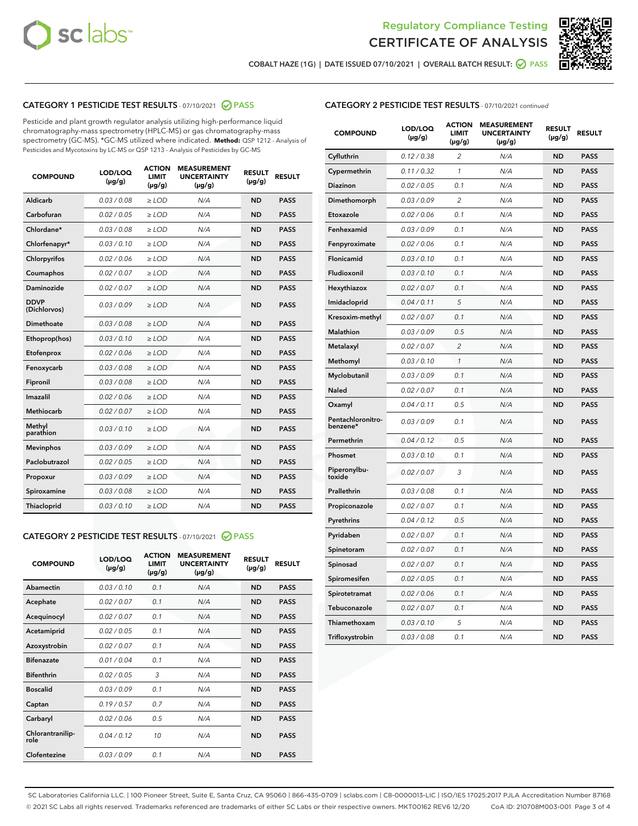



COBALT HAZE (1G) | DATE ISSUED 07/10/2021 | OVERALL BATCH RESULT:  $\bigcirc$  PASS

## CATEGORY 1 PESTICIDE TEST RESULTS - 07/10/2021 2 PASS

Pesticide and plant growth regulator analysis utilizing high-performance liquid chromatography-mass spectrometry (HPLC-MS) or gas chromatography-mass spectrometry (GC-MS). \*GC-MS utilized where indicated. **Method:** QSP 1212 - Analysis of Pesticides and Mycotoxins by LC-MS or QSP 1213 - Analysis of Pesticides by GC-MS

| Aldicarb<br>0.03 / 0.08<br>$\ge$ LOD<br>N/A<br><b>ND</b><br><b>PASS</b><br>Carbofuran<br>0.02 / 0.05<br><b>ND</b><br><b>PASS</b><br>$\ge$ LOD<br>N/A<br>Chlordane*<br>0.03 / 0.08<br>$\ge$ LOD<br>N/A<br><b>ND</b><br><b>PASS</b><br>Chlorfenapyr*<br>0.03/0.10<br>N/A<br><b>ND</b><br><b>PASS</b><br>$\ge$ LOD<br>N/A<br><b>ND</b><br><b>PASS</b><br>Chlorpyrifos<br>0.02 / 0.06<br>$\ge$ LOD<br>0.02 / 0.07<br>Coumaphos<br>$>$ LOD<br>N/A<br><b>ND</b><br><b>PASS</b><br>Daminozide<br>0.02/0.07<br>N/A<br><b>ND</b><br>$>$ LOD<br><b>PASS</b><br><b>DDVP</b><br>0.03/0.09<br>$\ge$ LOD<br>N/A<br><b>ND</b><br><b>PASS</b><br>(Dichlorvos)<br>Dimethoate<br>0.03 / 0.08<br>$\ge$ LOD<br>N/A<br><b>ND</b><br><b>PASS</b><br>0.03/0.10<br><b>ND</b><br><b>PASS</b><br>$\ge$ LOD<br>N/A<br>Ethoprop(hos)<br>0.02 / 0.06<br>$\ge$ LOD<br>N/A<br><b>ND</b><br><b>PASS</b><br>Etofenprox<br>0.03 / 0.08<br>$\ge$ LOD<br>N/A<br><b>ND</b><br><b>PASS</b><br>Fenoxycarb<br>0.03 / 0.08<br>Fipronil<br>$\ge$ LOD<br>N/A<br><b>ND</b><br><b>PASS</b><br>Imazalil<br>0.02 / 0.06<br>$\ge$ LOD<br>N/A<br><b>ND</b><br><b>PASS</b><br>Methiocarb<br>0.02 / 0.07<br>N/A<br><b>ND</b><br>$>$ LOD<br><b>PASS</b><br>Methyl<br>N/A<br><b>ND</b><br>0.03/0.10<br>$\ge$ LOD<br><b>PASS</b><br>parathion<br>0.03/0.09<br>N/A<br><b>ND</b><br><b>PASS</b><br><b>Mevinphos</b><br>$\ge$ LOD<br>Paclobutrazol<br>0.02 / 0.05<br><b>ND</b><br><b>PASS</b><br>$\ge$ LOD<br>N/A<br>0.03/0.09<br>$\ge$ LOD<br>N/A<br><b>ND</b><br><b>PASS</b><br>Propoxur<br>0.03 / 0.08<br>$\ge$ LOD<br>N/A<br><b>ND</b><br><b>PASS</b><br>Spiroxamine<br>0.03/0.10<br>Thiacloprid<br>$\ge$ LOD<br>N/A<br><b>ND</b><br><b>PASS</b> | <b>COMPOUND</b> | LOD/LOQ<br>$(\mu g/g)$ | <b>ACTION</b><br><b>LIMIT</b><br>$(\mu g/g)$ | <b>MEASUREMENT</b><br><b>UNCERTAINTY</b><br>$(\mu g/g)$ | <b>RESULT</b><br>$(\mu g/g)$ | <b>RESULT</b> |
|---------------------------------------------------------------------------------------------------------------------------------------------------------------------------------------------------------------------------------------------------------------------------------------------------------------------------------------------------------------------------------------------------------------------------------------------------------------------------------------------------------------------------------------------------------------------------------------------------------------------------------------------------------------------------------------------------------------------------------------------------------------------------------------------------------------------------------------------------------------------------------------------------------------------------------------------------------------------------------------------------------------------------------------------------------------------------------------------------------------------------------------------------------------------------------------------------------------------------------------------------------------------------------------------------------------------------------------------------------------------------------------------------------------------------------------------------------------------------------------------------------------------------------------------------------------------------------------------------------------------------------------------------------------------------------------------|-----------------|------------------------|----------------------------------------------|---------------------------------------------------------|------------------------------|---------------|
|                                                                                                                                                                                                                                                                                                                                                                                                                                                                                                                                                                                                                                                                                                                                                                                                                                                                                                                                                                                                                                                                                                                                                                                                                                                                                                                                                                                                                                                                                                                                                                                                                                                                                             |                 |                        |                                              |                                                         |                              |               |
|                                                                                                                                                                                                                                                                                                                                                                                                                                                                                                                                                                                                                                                                                                                                                                                                                                                                                                                                                                                                                                                                                                                                                                                                                                                                                                                                                                                                                                                                                                                                                                                                                                                                                             |                 |                        |                                              |                                                         |                              |               |
|                                                                                                                                                                                                                                                                                                                                                                                                                                                                                                                                                                                                                                                                                                                                                                                                                                                                                                                                                                                                                                                                                                                                                                                                                                                                                                                                                                                                                                                                                                                                                                                                                                                                                             |                 |                        |                                              |                                                         |                              |               |
|                                                                                                                                                                                                                                                                                                                                                                                                                                                                                                                                                                                                                                                                                                                                                                                                                                                                                                                                                                                                                                                                                                                                                                                                                                                                                                                                                                                                                                                                                                                                                                                                                                                                                             |                 |                        |                                              |                                                         |                              |               |
|                                                                                                                                                                                                                                                                                                                                                                                                                                                                                                                                                                                                                                                                                                                                                                                                                                                                                                                                                                                                                                                                                                                                                                                                                                                                                                                                                                                                                                                                                                                                                                                                                                                                                             |                 |                        |                                              |                                                         |                              |               |
|                                                                                                                                                                                                                                                                                                                                                                                                                                                                                                                                                                                                                                                                                                                                                                                                                                                                                                                                                                                                                                                                                                                                                                                                                                                                                                                                                                                                                                                                                                                                                                                                                                                                                             |                 |                        |                                              |                                                         |                              |               |
|                                                                                                                                                                                                                                                                                                                                                                                                                                                                                                                                                                                                                                                                                                                                                                                                                                                                                                                                                                                                                                                                                                                                                                                                                                                                                                                                                                                                                                                                                                                                                                                                                                                                                             |                 |                        |                                              |                                                         |                              |               |
|                                                                                                                                                                                                                                                                                                                                                                                                                                                                                                                                                                                                                                                                                                                                                                                                                                                                                                                                                                                                                                                                                                                                                                                                                                                                                                                                                                                                                                                                                                                                                                                                                                                                                             |                 |                        |                                              |                                                         |                              |               |
|                                                                                                                                                                                                                                                                                                                                                                                                                                                                                                                                                                                                                                                                                                                                                                                                                                                                                                                                                                                                                                                                                                                                                                                                                                                                                                                                                                                                                                                                                                                                                                                                                                                                                             |                 |                        |                                              |                                                         |                              |               |
|                                                                                                                                                                                                                                                                                                                                                                                                                                                                                                                                                                                                                                                                                                                                                                                                                                                                                                                                                                                                                                                                                                                                                                                                                                                                                                                                                                                                                                                                                                                                                                                                                                                                                             |                 |                        |                                              |                                                         |                              |               |
|                                                                                                                                                                                                                                                                                                                                                                                                                                                                                                                                                                                                                                                                                                                                                                                                                                                                                                                                                                                                                                                                                                                                                                                                                                                                                                                                                                                                                                                                                                                                                                                                                                                                                             |                 |                        |                                              |                                                         |                              |               |
|                                                                                                                                                                                                                                                                                                                                                                                                                                                                                                                                                                                                                                                                                                                                                                                                                                                                                                                                                                                                                                                                                                                                                                                                                                                                                                                                                                                                                                                                                                                                                                                                                                                                                             |                 |                        |                                              |                                                         |                              |               |
|                                                                                                                                                                                                                                                                                                                                                                                                                                                                                                                                                                                                                                                                                                                                                                                                                                                                                                                                                                                                                                                                                                                                                                                                                                                                                                                                                                                                                                                                                                                                                                                                                                                                                             |                 |                        |                                              |                                                         |                              |               |
|                                                                                                                                                                                                                                                                                                                                                                                                                                                                                                                                                                                                                                                                                                                                                                                                                                                                                                                                                                                                                                                                                                                                                                                                                                                                                                                                                                                                                                                                                                                                                                                                                                                                                             |                 |                        |                                              |                                                         |                              |               |
|                                                                                                                                                                                                                                                                                                                                                                                                                                                                                                                                                                                                                                                                                                                                                                                                                                                                                                                                                                                                                                                                                                                                                                                                                                                                                                                                                                                                                                                                                                                                                                                                                                                                                             |                 |                        |                                              |                                                         |                              |               |
|                                                                                                                                                                                                                                                                                                                                                                                                                                                                                                                                                                                                                                                                                                                                                                                                                                                                                                                                                                                                                                                                                                                                                                                                                                                                                                                                                                                                                                                                                                                                                                                                                                                                                             |                 |                        |                                              |                                                         |                              |               |
|                                                                                                                                                                                                                                                                                                                                                                                                                                                                                                                                                                                                                                                                                                                                                                                                                                                                                                                                                                                                                                                                                                                                                                                                                                                                                                                                                                                                                                                                                                                                                                                                                                                                                             |                 |                        |                                              |                                                         |                              |               |
|                                                                                                                                                                                                                                                                                                                                                                                                                                                                                                                                                                                                                                                                                                                                                                                                                                                                                                                                                                                                                                                                                                                                                                                                                                                                                                                                                                                                                                                                                                                                                                                                                                                                                             |                 |                        |                                              |                                                         |                              |               |
|                                                                                                                                                                                                                                                                                                                                                                                                                                                                                                                                                                                                                                                                                                                                                                                                                                                                                                                                                                                                                                                                                                                                                                                                                                                                                                                                                                                                                                                                                                                                                                                                                                                                                             |                 |                        |                                              |                                                         |                              |               |
|                                                                                                                                                                                                                                                                                                                                                                                                                                                                                                                                                                                                                                                                                                                                                                                                                                                                                                                                                                                                                                                                                                                                                                                                                                                                                                                                                                                                                                                                                                                                                                                                                                                                                             |                 |                        |                                              |                                                         |                              |               |
|                                                                                                                                                                                                                                                                                                                                                                                                                                                                                                                                                                                                                                                                                                                                                                                                                                                                                                                                                                                                                                                                                                                                                                                                                                                                                                                                                                                                                                                                                                                                                                                                                                                                                             |                 |                        |                                              |                                                         |                              |               |

## CATEGORY 2 PESTICIDE TEST RESULTS - 07/10/2021 @ PASS

| <b>COMPOUND</b>          | LOD/LOO<br>$(\mu g/g)$ | <b>ACTION</b><br>LIMIT<br>$(\mu g/g)$ | <b>MEASUREMENT</b><br><b>UNCERTAINTY</b><br>$(\mu g/g)$ | <b>RESULT</b><br>$(\mu g/g)$ | <b>RESULT</b> |  |
|--------------------------|------------------------|---------------------------------------|---------------------------------------------------------|------------------------------|---------------|--|
| Abamectin                | 0.03/0.10              | 0.1                                   | N/A                                                     | <b>ND</b>                    | <b>PASS</b>   |  |
| Acephate                 | 0.02/0.07              | 0.1                                   | N/A                                                     | <b>ND</b>                    | <b>PASS</b>   |  |
| Acequinocyl              | 0.02/0.07              | 0.1                                   | N/A                                                     | <b>ND</b>                    | <b>PASS</b>   |  |
| Acetamiprid              | 0.02/0.05              | 0.1                                   | N/A                                                     | <b>ND</b>                    | <b>PASS</b>   |  |
| Azoxystrobin             | 0.02/0.07              | 0.1                                   | N/A                                                     | <b>ND</b>                    | <b>PASS</b>   |  |
| <b>Bifenazate</b>        | 0.01/0.04              | 0.1                                   | N/A                                                     | <b>ND</b>                    | <b>PASS</b>   |  |
| <b>Bifenthrin</b>        | 0.02/0.05              | 3                                     | N/A                                                     | <b>ND</b>                    | <b>PASS</b>   |  |
| <b>Boscalid</b>          | 0.03/0.09              | 0.1                                   | N/A                                                     | <b>ND</b>                    | <b>PASS</b>   |  |
| Captan                   | 0.19/0.57              | 0.7                                   | N/A                                                     | <b>ND</b>                    | <b>PASS</b>   |  |
| Carbaryl                 | 0.02/0.06              | 0.5                                   | N/A                                                     | <b>ND</b>                    | <b>PASS</b>   |  |
| Chlorantranilip-<br>role | 0.04/0.12              | 10                                    | N/A                                                     | <b>ND</b>                    | <b>PASS</b>   |  |
| Clofentezine             | 0.03/0.09              | 0.1                                   | N/A                                                     | <b>ND</b>                    | <b>PASS</b>   |  |

## CATEGORY 2 PESTICIDE TEST RESULTS - 07/10/2021 continued

| <b>COMPOUND</b>               | LOD/LOQ<br>(µg/g) | <b>ACTION</b><br><b>LIMIT</b><br>(µg/g) | <b>MEASUREMENT</b><br><b>UNCERTAINTY</b><br>$(\mu g/g)$ | <b>RESULT</b><br>(µg/g) | <b>RESULT</b> |
|-------------------------------|-------------------|-----------------------------------------|---------------------------------------------------------|-------------------------|---------------|
| Cyfluthrin                    | 0.12 / 0.38       | $\overline{c}$                          | N/A                                                     | <b>ND</b>               | <b>PASS</b>   |
| Cypermethrin                  | 0.11 / 0.32       | $\mathcal{I}$                           | N/A                                                     | ND                      | <b>PASS</b>   |
| <b>Diazinon</b>               | 0.02 / 0.05       | 0.1                                     | N/A                                                     | <b>ND</b>               | <b>PASS</b>   |
| Dimethomorph                  | 0.03 / 0.09       | 2                                       | N/A                                                     | <b>ND</b>               | <b>PASS</b>   |
| Etoxazole                     | 0.02 / 0.06       | 0.1                                     | N/A                                                     | <b>ND</b>               | <b>PASS</b>   |
| Fenhexamid                    | 0.03 / 0.09       | 0.1                                     | N/A                                                     | <b>ND</b>               | <b>PASS</b>   |
| Fenpyroximate                 | 0.02 / 0.06       | 0.1                                     | N/A                                                     | <b>ND</b>               | <b>PASS</b>   |
| Flonicamid                    | 0.03 / 0.10       | 0.1                                     | N/A                                                     | <b>ND</b>               | <b>PASS</b>   |
| Fludioxonil                   | 0.03 / 0.10       | 0.1                                     | N/A                                                     | <b>ND</b>               | <b>PASS</b>   |
| Hexythiazox                   | 0.02 / 0.07       | 0.1                                     | N/A                                                     | <b>ND</b>               | <b>PASS</b>   |
| Imidacloprid                  | 0.04 / 0.11       | 5                                       | N/A                                                     | <b>ND</b>               | <b>PASS</b>   |
| Kresoxim-methyl               | 0.02 / 0.07       | 0.1                                     | N/A                                                     | <b>ND</b>               | <b>PASS</b>   |
| <b>Malathion</b>              | 0.03 / 0.09       | 0.5                                     | N/A                                                     | <b>ND</b>               | <b>PASS</b>   |
| Metalaxyl                     | 0.02 / 0.07       | $\overline{c}$                          | N/A                                                     | <b>ND</b>               | <b>PASS</b>   |
| Methomyl                      | 0.03 / 0.10       | 1                                       | N/A                                                     | <b>ND</b>               | <b>PASS</b>   |
| Myclobutanil                  | 0.03 / 0.09       | 0.1                                     | N/A                                                     | <b>ND</b>               | <b>PASS</b>   |
| Naled                         | 0.02 / 0.07       | 0.1                                     | N/A                                                     | <b>ND</b>               | <b>PASS</b>   |
| Oxamyl                        | 0.04 / 0.11       | 0.5                                     | N/A                                                     | <b>ND</b>               | <b>PASS</b>   |
| Pentachloronitro-<br>benzene* | 0.03 / 0.09       | 0.1                                     | N/A                                                     | <b>ND</b>               | <b>PASS</b>   |
| Permethrin                    | 0.04 / 0.12       | 0.5                                     | N/A                                                     | <b>ND</b>               | <b>PASS</b>   |
| Phosmet                       | 0.03 / 0.10       | 0.1                                     | N/A                                                     | <b>ND</b>               | <b>PASS</b>   |
| Piperonylbu-<br>toxide        | 0.02 / 0.07       | 3                                       | N/A                                                     | <b>ND</b>               | <b>PASS</b>   |
| Prallethrin                   | 0.03 / 0.08       | 0.1                                     | N/A                                                     | <b>ND</b>               | <b>PASS</b>   |
| Propiconazole                 | 0.02 / 0.07       | 0.1                                     | N/A                                                     | <b>ND</b>               | <b>PASS</b>   |
| Pyrethrins                    | 0.04 / 0.12       | 0.5                                     | N/A                                                     | <b>ND</b>               | <b>PASS</b>   |
| Pyridaben                     | 0.02 / 0.07       | 0.1                                     | N/A                                                     | <b>ND</b>               | <b>PASS</b>   |
| Spinetoram                    | 0.02 / 0.07       | 0.1                                     | N/A                                                     | <b>ND</b>               | <b>PASS</b>   |
| Spinosad                      | 0.02 / 0.07       | 0.1                                     | N/A                                                     | <b>ND</b>               | <b>PASS</b>   |
| Spiromesifen                  | 0.02 / 0.05       | 0.1                                     | N/A                                                     | <b>ND</b>               | <b>PASS</b>   |
| Spirotetramat                 | 0.02 / 0.06       | 0.1                                     | N/A                                                     | <b>ND</b>               | <b>PASS</b>   |
| Tebuconazole                  | 0.02 / 0.07       | 0.1                                     | N/A                                                     | <b>ND</b>               | <b>PASS</b>   |
| Thiamethoxam                  | 0.03/0.10         | 5                                       | N/A                                                     | <b>ND</b>               | <b>PASS</b>   |
| Trifloxystrobin               | 0.03 / 0.08       | 0.1                                     | N/A                                                     | <b>ND</b>               | <b>PASS</b>   |

SC Laboratories California LLC. | 100 Pioneer Street, Suite E, Santa Cruz, CA 95060 | 866-435-0709 | sclabs.com | C8-0000013-LIC | ISO/IES 17025:2017 PJLA Accreditation Number 87168 © 2021 SC Labs all rights reserved. Trademarks referenced are trademarks of either SC Labs or their respective owners. MKT00162 REV6 12/20 CoA ID: 210708M003-001 Page 3 of 4